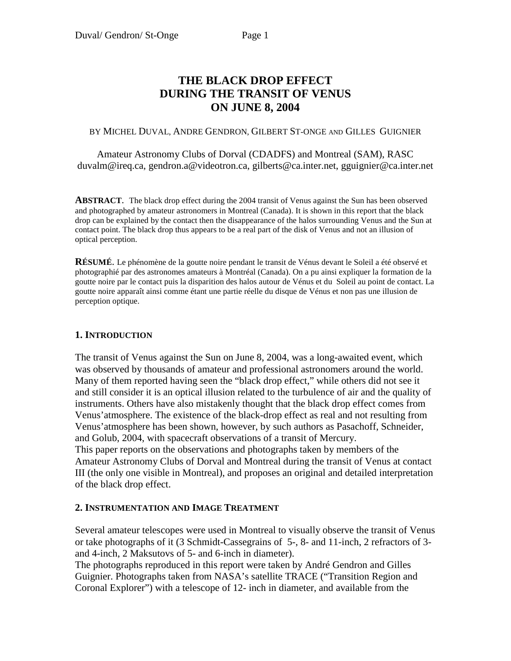# **THE BLACK DROP EFFECT DURING THE TRANSIT OF VENUS ON JUNE 8, 2004**

#### BY MICHEL DUVAL, ANDRE GENDRON, GILBERT ST-ONGE AND GILLES GUIGNIER

Amateur Astronomy Clubs of Dorval (CDADFS) and Montreal (SAM), RASC duvalm@ireq.ca, gendron.a@videotron.ca, gilberts@ca.inter.net, gguignier@ca.inter.net

**ABSTRACT**. The black drop effect during the 2004 transit of Venus against the Sun has been observed and photographed by amateur astronomers in Montreal (Canada). It is shown in this report that the black drop can be explained by the contact then the disappearance of the halos surrounding Venus and the Sun at contact point. The black drop thus appears to be a real part of the disk of Venus and not an illusion of optical perception.

**RÉSUMÉ**. Le phénomène de la goutte noire pendant le transit de Vénus devant le Soleil a été observé et photographié par des astronomes amateurs à Montréal (Canada). On a pu ainsi expliquer la formation de la goutte noire par le contact puis la disparition des halos autour de Vénus et du Soleil au point de contact. La goutte noire apparaît ainsi comme étant une partie réelle du disque de Vénus et non pas une illusion de perception optique.

### **1. INTRODUCTION**

The transit of Venus against the Sun on June 8, 2004, was a long-awaited event, which was observed by thousands of amateur and professional astronomers around the world. Many of them reported having seen the "black drop effect," while others did not see it and still consider it is an optical illusion related to the turbulence of air and the quality of instruments. Others have also mistakenly thought that the black drop effect comes from Venus'atmosphere. The existence of the black-drop effect as real and not resulting from Venus'atmosphere has been shown, however, by such authors as Pasachoff, Schneider, and Golub, 2004, with spacecraft observations of a transit of Mercury. This paper reports on the observations and photographs taken by members of the Amateur Astronomy Clubs of Dorval and Montreal during the transit of Venus at contact III (the only one visible in Montreal), and proposes an original and detailed interpretation of the black drop effect.

### **2. INSTRUMENTATION AND IMAGE TREATMENT**

Several amateur telescopes were used in Montreal to visually observe the transit of Venus or take photographs of it (3 Schmidt-Cassegrains of 5-, 8- and 11-inch, 2 refractors of 3 and 4-inch, 2 Maksutovs of 5- and 6-inch in diameter).

The photographs reproduced in this report were taken by André Gendron and Gilles Guignier. Photographs taken from NASA's satellite TRACE ("Transition Region and Coronal Explorer") with a telescope of 12- inch in diameter, and available from the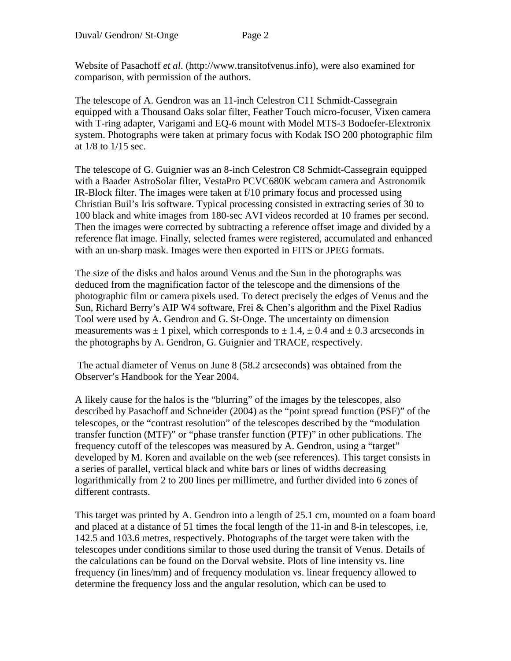Website of Pasachoff *et al*. (http://www.transitofvenus.info), were also examined for comparison, with permission of the authors.

The telescope of A. Gendron was an 11-inch Celestron C11 Schmidt-Cassegrain equipped with a Thousand Oaks solar filter, Feather Touch micro-focuser, Vixen camera with T-ring adapter, Varigami and EQ-6 mount with Model MTS-3 Bodoefer-Elextronix system. Photographs were taken at primary focus with Kodak ISO 200 photographic film at 1/8 to 1/15 sec.

The telescope of G. Guignier was an 8-inch Celestron C8 Schmidt-Cassegrain equipped with a Baader AstroSolar filter, VestaPro PCVC680K webcam camera and Astronomik IR-Block filter. The images were taken at f/10 primary focus and processed using Christian Buil's Iris software. Typical processing consisted in extracting series of 30 to 100 black and white images from 180-sec AVI videos recorded at 10 frames per second. Then the images were corrected by subtracting a reference offset image and divided by a reference flat image. Finally, selected frames were registered, accumulated and enhanced with an un-sharp mask. Images were then exported in FITS or JPEG formats.

The size of the disks and halos around Venus and the Sun in the photographs was deduced from the magnification factor of the telescope and the dimensions of the photographic film or camera pixels used. To detect precisely the edges of Venus and the Sun, Richard Berry's AIP W4 software, Frei & Chen's algorithm and the Pixel Radius Tool were used by A. Gendron and G. St-Onge. The uncertainty on dimension measurements was  $\pm 1$  pixel, which corresponds to  $\pm 1.4$ ,  $\pm 0.4$  and  $\pm 0.3$  arcseconds in the photographs by A. Gendron, G. Guignier and TRACE, respectively.

 The actual diameter of Venus on June 8 (58.2 arcseconds) was obtained from the Observer's Handbook for the Year 2004.

A likely cause for the halos is the "blurring" of the images by the telescopes, also described by Pasachoff and Schneider (2004) as the "point spread function (PSF)" of the telescopes, or the "contrast resolution" of the telescopes described by the "modulation transfer function (MTF)" or "phase transfer function (PTF)" in other publications. The frequency cutoff of the telescopes was measured by A. Gendron, using a "target" developed by M. Koren and available on the web (see references). This target consists in a series of parallel, vertical black and white bars or lines of widths decreasing logarithmically from 2 to 200 lines per millimetre, and further divided into 6 zones of different contrasts.

This target was printed by A. Gendron into a length of 25.1 cm, mounted on a foam board and placed at a distance of 51 times the focal length of the 11-in and 8-in telescopes, i.e, 142.5 and 103.6 metres, respectively. Photographs of the target were taken with the telescopes under conditions similar to those used during the transit of Venus. Details of the calculations can be found on the Dorval website. Plots of line intensity vs. line frequency (in lines/mm) and of frequency modulation vs. linear frequency allowed to determine the frequency loss and the angular resolution, which can be used to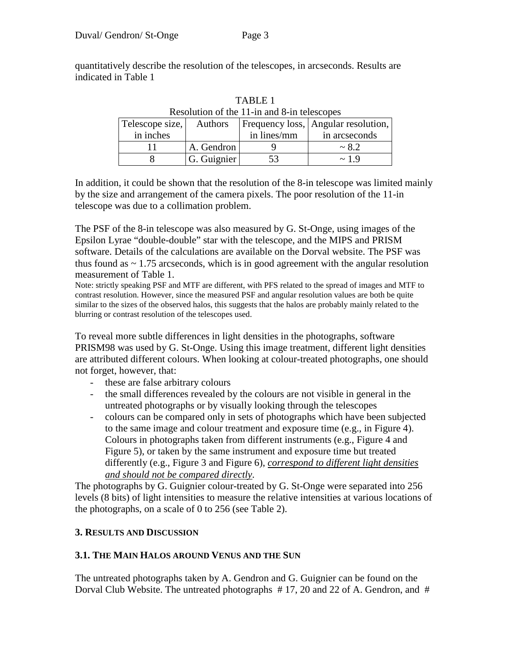quantitatively describe the resolution of the telescopes, in arcseconds. Results are indicated in Table 1

| resolution of the 11-in and 6-in telescopes |                |             |                                     |  |  |  |  |  |
|---------------------------------------------|----------------|-------------|-------------------------------------|--|--|--|--|--|
| Telescope size,                             | <b>Authors</b> |             | Frequency loss, Angular resolution, |  |  |  |  |  |
| in inches                                   |                | in lines/mm | in arcseconds                       |  |  |  |  |  |
|                                             | A. Gendron     |             | $\sim 8.2$                          |  |  |  |  |  |
|                                             | G. Guignier    |             | $\sim$ 1.9                          |  |  |  |  |  |

TABLE 1 Resolution of the 11-in and 8-in telescopes

In addition, it could be shown that the resolution of the 8-in telescope was limited mainly by the size and arrangement of the camera pixels. The poor resolution of the 11-in telescope was due to a collimation problem.

The PSF of the 8-in telescope was also measured by G. St-Onge, using images of the Epsilon Lyrae "double-double" star with the telescope, and the MIPS and PRISM software. Details of the calculations are available on the Dorval website. The PSF was thus found as  $\sim$  1.75 arcseconds, which is in good agreement with the angular resolution measurement of Table 1.

Note: strictly speaking PSF and MTF are different, with PFS related to the spread of images and MTF to contrast resolution. However, since the measured PSF and angular resolution values are both be quite similar to the sizes of the observed halos, this suggests that the halos are probably mainly related to the blurring or contrast resolution of the telescopes used.

To reveal more subtle differences in light densities in the photographs, software PRISM98 was used by G. St-Onge. Using this image treatment, different light densities are attributed different colours. When looking at colour-treated photographs, one should not forget, however, that:

- these are false arbitrary colours
- the small differences revealed by the colours are not visible in general in the untreated photographs or by visually looking through the telescopes
- colours can be compared only in sets of photographs which have been subjected to the same image and colour treatment and exposure time (e.g., in Figure 4). Colours in photographs taken from different instruments (e.g., Figure 4 and Figure 5), or taken by the same instrument and exposure time but treated differently (e.g., Figure 3 and Figure 6), *correspond to different light densities and should not be compared directly*.

The photographs by G. Guignier colour-treated by G. St-Onge were separated into 256 levels (8 bits) of light intensities to measure the relative intensities at various locations of the photographs, on a scale of 0 to 256 (see Table 2).

## **3. RESULTS AND DISCUSSION**

### **3.1. THE MAIN HALOS AROUND VENUS AND THE SUN**

The untreated photographs taken by A. Gendron and G. Guignier can be found on the Dorval Club Website. The untreated photographs  $# 17$ , 20 and 22 of A. Gendron, and  $#$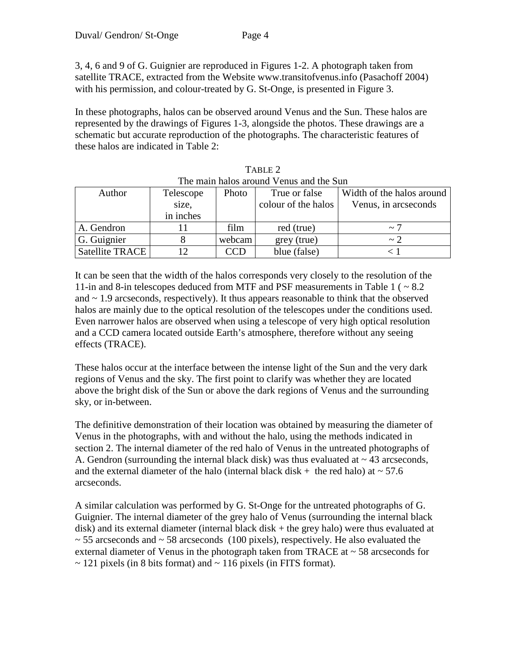3, 4, 6 and 9 of G. Guignier are reproduced in Figures 1-2. A photograph taken from satellite TRACE, extracted from the Website www.transitofvenus.info (Pasachoff 2004) with his permission, and colour-treated by G. St-Onge, is presented in Figure 3.

In these photographs, halos can be observed around Venus and the Sun. These halos are represented by the drawings of Figures 1-3, alongside the photos. These drawings are a schematic but accurate reproduction of the photographs. The characteristic features of these halos are indicated in Table 2:

| 1110 11101111 1101100 0110 01108 - 011080 01108 0110 10 011 |           |        |                     |                           |  |  |  |  |
|-------------------------------------------------------------|-----------|--------|---------------------|---------------------------|--|--|--|--|
| Author                                                      | Telescope | Photo  | True or false       | Width of the halos around |  |  |  |  |
|                                                             | size,     |        | colour of the halos | Venus, in arcseconds      |  |  |  |  |
|                                                             | in inches |        |                     |                           |  |  |  |  |
| A. Gendron                                                  |           | film   | red (true)          | $\sim$ $\degree$          |  |  |  |  |
| G. Guignier                                                 |           | webcam | grey (true)         | $\sim$ 2                  |  |  |  |  |
| Satellite TRACE                                             |           | CCD    | blue (false)        |                           |  |  |  |  |

TABLE 2 The main halos around Venus and the Sun

It can be seen that the width of the halos corresponds very closely to the resolution of the 11-in and 8-in telescopes deduced from MTF and PSF measurements in Table 1 ( ~ 8.2 and  $\sim$  1.9 arcseconds, respectively). It thus appears reasonable to think that the observed halos are mainly due to the optical resolution of the telescopes under the conditions used. Even narrower halos are observed when using a telescope of very high optical resolution and a CCD camera located outside Earth's atmosphere, therefore without any seeing effects (TRACE).

These halos occur at the interface between the intense light of the Sun and the very dark regions of Venus and the sky. The first point to clarify was whether they are located above the bright disk of the Sun or above the dark regions of Venus and the surrounding sky, or in-between.

The definitive demonstration of their location was obtained by measuring the diameter of Venus in the photographs, with and without the halo, using the methods indicated in section 2. The internal diameter of the red halo of Venus in the untreated photographs of A. Gendron (surrounding the internal black disk) was thus evaluated at  $\sim$  43 arcseconds, and the external diameter of the halo (internal black disk  $+$  the red halo) at  $\sim$  57.6 arcseconds.

A similar calculation was performed by G. St-Onge for the untreated photographs of G. Guignier. The internal diameter of the grey halo of Venus (surrounding the internal black disk) and its external diameter (internal black disk + the grey halo) were thus evaluated at  $\sim$  55 arcseconds and  $\sim$  58 arcseconds (100 pixels), respectively. He also evaluated the external diameter of Venus in the photograph taken from TRACE at  $\sim$  58 arcseconds for  $\sim$  121 pixels (in 8 bits format) and  $\sim$  116 pixels (in FITS format).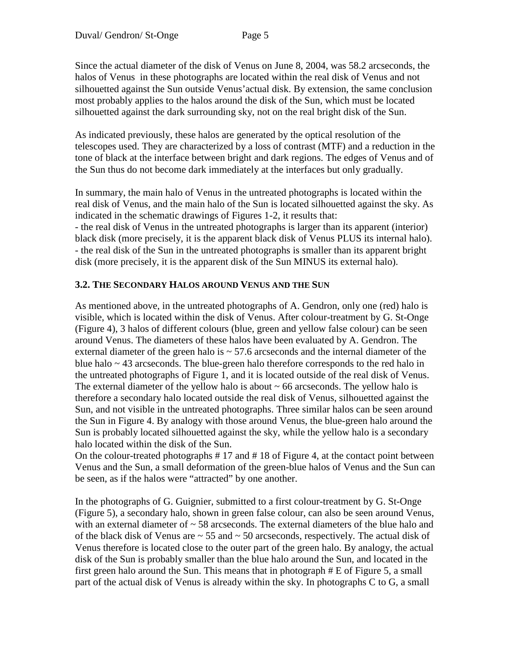Since the actual diameter of the disk of Venus on June 8, 2004, was 58.2 arcseconds, the halos of Venus in these photographs are located within the real disk of Venus and not silhouetted against the Sun outside Venus'actual disk. By extension, the same conclusion most probably applies to the halos around the disk of the Sun, which must be located silhouetted against the dark surrounding sky, not on the real bright disk of the Sun.

As indicated previously, these halos are generated by the optical resolution of the telescopes used. They are characterized by a loss of contrast (MTF) and a reduction in the tone of black at the interface between bright and dark regions. The edges of Venus and of the Sun thus do not become dark immediately at the interfaces but only gradually.

In summary, the main halo of Venus in the untreated photographs is located within the real disk of Venus, and the main halo of the Sun is located silhouetted against the sky. As indicated in the schematic drawings of Figures 1-2, it results that:

- the real disk of Venus in the untreated photographs is larger than its apparent (interior) black disk (more precisely, it is the apparent black disk of Venus PLUS its internal halo). - the real disk of the Sun in the untreated photographs is smaller than its apparent bright disk (more precisely, it is the apparent disk of the Sun MINUS its external halo).

### **3.2. THE SECONDARY HALOS AROUND VENUS AND THE SUN**

As mentioned above, in the untreated photographs of A. Gendron, only one (red) halo is visible, which is located within the disk of Venus. After colour-treatment by G. St-Onge (Figure 4), 3 halos of different colours (blue, green and yellow false colour) can be seen around Venus. The diameters of these halos have been evaluated by A. Gendron. The external diameter of the green halo is  $\sim$  57.6 arcseconds and the internal diameter of the blue halo  $\sim$  43 arcseconds. The blue-green halo therefore corresponds to the red halo in the untreated photographs of Figure 1, and it is located outside of the real disk of Venus. The external diameter of the yellow halo is about  $\sim 66$  arcseconds. The yellow halo is therefore a secondary halo located outside the real disk of Venus, silhouetted against the Sun, and not visible in the untreated photographs. Three similar halos can be seen around the Sun in Figure 4. By analogy with those around Venus, the blue-green halo around the Sun is probably located silhouetted against the sky, while the yellow halo is a secondary halo located within the disk of the Sun.

On the colour-treated photographs # 17 and # 18 of Figure 4, at the contact point between Venus and the Sun, a small deformation of the green-blue halos of Venus and the Sun can be seen, as if the halos were "attracted" by one another.

In the photographs of G. Guignier, submitted to a first colour-treatment by G. St-Onge (Figure 5), a secondary halo, shown in green false colour, can also be seen around Venus, with an external diameter of  $\sim$  58 arcseconds. The external diameters of the blue halo and of the black disk of Venus are  $\sim$  55 and  $\sim$  50 arcseconds, respectively. The actual disk of Venus therefore is located close to the outer part of the green halo. By analogy, the actual disk of the Sun is probably smaller than the blue halo around the Sun, and located in the first green halo around the Sun. This means that in photograph # E of Figure 5, a small part of the actual disk of Venus is already within the sky. In photographs C to G, a small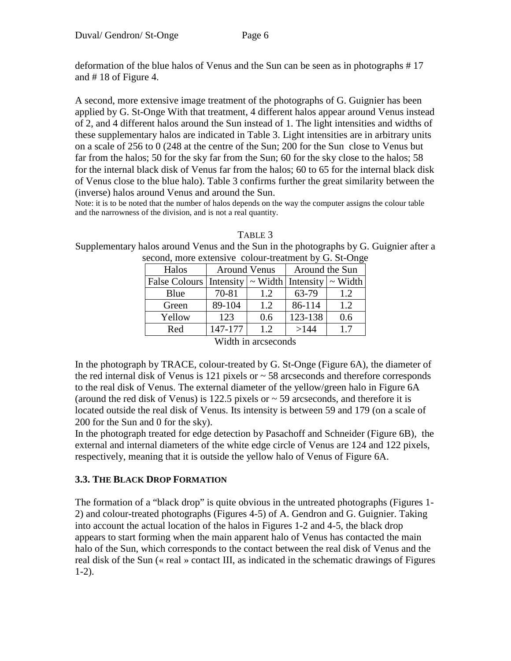deformation of the blue halos of Venus and the Sun can be seen as in photographs # 17 and # 18 of Figure 4.

A second, more extensive image treatment of the photographs of G. Guignier has been applied by G. St-Onge With that treatment, 4 different halos appear around Venus instead of 2, and 4 different halos around the Sun instead of 1. The light intensities and widths of these supplementary halos are indicated in Table 3. Light intensities are in arbitrary units on a scale of 256 to 0 (248 at the centre of the Sun; 200 for the Sun close to Venus but far from the halos; 50 for the sky far from the Sun; 60 for the sky close to the halos; 58 for the internal black disk of Venus far from the halos; 60 to 65 for the internal black disk of Venus close to the blue halo). Table 3 confirms further the great similarity between the (inverse) halos around Venus and around the Sun.

Note: it is to be noted that the number of halos depends on the way the computer assigns the colour table and the narrowness of the division, and is not a real quantity.

| TABLE 3                                                                                |
|----------------------------------------------------------------------------------------|
| Supplementary halos around Venus and the Sun in the photographs by G. Guignier after a |
| second more extensive colour-treatment by $G$ , $S_{t}$ Onge                           |

| second, more extensive colour-treatment by G. St-Onge           |              |     |                |     |  |  |  |
|-----------------------------------------------------------------|--------------|-----|----------------|-----|--|--|--|
| Halos                                                           | Around Venus |     | Around the Sun |     |  |  |  |
| False Colours   Intensity $\sim$ Width   Intensity $\sim$ Width |              |     |                |     |  |  |  |
| Blue                                                            | 70-81        | 1.2 | 63-79          | 1.2 |  |  |  |
| Green                                                           | 89-104       | 1.2 | 86-114         | 1.2 |  |  |  |
| Yellow                                                          | 123          | 0.6 | 123-138        | 0.6 |  |  |  |
| Red                                                             | 147-177      | 1.2 | >144           | 1.7 |  |  |  |
|                                                                 |              |     |                |     |  |  |  |

Width in arcseconds

In the photograph by TRACE, colour-treated by G. St-Onge (Figure 6A), the diameter of the red internal disk of Venus is 121 pixels or  $\sim$  58 arcseconds and therefore corresponds to the real disk of Venus. The external diameter of the yellow/green halo in Figure 6A (around the red disk of Venus) is 122.5 pixels or  $\sim$  59 arcseconds, and therefore it is located outside the real disk of Venus. Its intensity is between 59 and 179 (on a scale of 200 for the Sun and 0 for the sky).

In the photograph treated for edge detection by Pasachoff and Schneider (Figure 6B), the external and internal diameters of the white edge circle of Venus are 124 and 122 pixels, respectively, meaning that it is outside the yellow halo of Venus of Figure 6A.

## **3.3. THE BLACK DROP FORMATION**

The formation of a "black drop" is quite obvious in the untreated photographs (Figures 1- 2) and colour-treated photographs (Figures 4-5) of A. Gendron and G. Guignier. Taking into account the actual location of the halos in Figures 1-2 and 4-5, the black drop appears to start forming when the main apparent halo of Venus has contacted the main halo of the Sun, which corresponds to the contact between the real disk of Venus and the real disk of the Sun (« real » contact III, as indicated in the schematic drawings of Figures 1-2).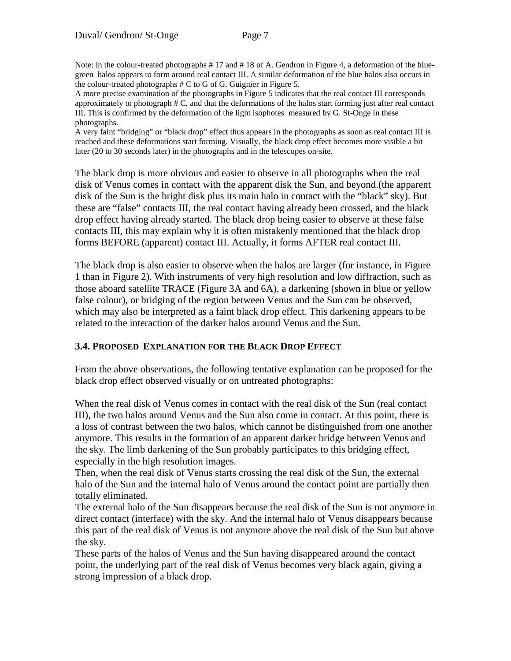Note: in the colour-treated photographs # 17 and # 18 of A. Gendron in Figure 4, a deformation of the bluegreen halos appears to form around real contact III. A similar deformation of the blue halos also occurs in the colour-treated photographs # C to G of G. Guignier in Figure 5.

A more precise examination of the photographs in Figure 5 indicates that the real contact III corresponds approximately to photograph # C, and that the deformations of the halos start forming just after real contact III. This is confirmed by the deformation of the light isophotes measured by G. St-Onge in these photographs.

A very faint "bridging" or "black drop" effect thus appears in the photographs as soon as real contact III is reached and these deformations start forming. Visually, the black drop effect becomes more visible a bit later (20 to 30 seconds later) in the photographs and in the telescopes on-site.

The black drop is more obvious and easier to observe in all photographs when the real disk of Venus comes in contact with the apparent disk the Sun, and beyond.(the apparent disk of the Sun is the bright disk plus its main halo in contact with the "black" sky). But these are "false" contacts III, the real contact having already been crossed, and the black drop effect having already started. The black drop being easier to observe at these false contacts III, this may explain why it is often mistakenly mentioned that the black drop forms BEFORE (apparent) contact III. Actually, it forms AFTER real contact III.

The black drop is also easier to observe when the halos are larger (for instance, in Figure 1 than in Figure 2). With instruments of very high resolution and low diffraction, such as those aboard satellite TRACE (Figure 3A and 6A), a darkening (shown in blue or yellow false colour), or bridging of the region between Venus and the Sun can be observed, which may also be interpreted as a faint black drop effect. This darkening appears to be related to the interaction of the darker halos around Venus and the Sun.

### **3.4. PROPOSED EXPLANATION FOR THE BLACK DROP EFFECT**

From the above observations, the following tentative explanation can be proposed for the black drop effect observed visually or on untreated photographs:

When the real disk of Venus comes in contact with the real disk of the Sun (real contact III), the two halos around Venus and the Sun also come in contact. At this point, there is a loss of contrast between the two halos, which cannot be distinguished from one another anymore. This results in the formation of an apparent darker bridge between Venus and the sky. The limb darkening of the Sun probably participates to this bridging effect, especially in the high resolution images.

Then, when the real disk of Venus starts crossing the real disk of the Sun, the external halo of the Sun and the internal halo of Venus around the contact point are partially then totally eliminated.

The external halo of the Sun disappears because the real disk of the Sun is not anymore in direct contact (interface) with the sky. And the internal halo of Venus disappears because this part of the real disk of Venus is not anymore above the real disk of the Sun but above the sky.

These parts of the halos of Venus and the Sun having disappeared around the contact point, the underlying part of the real disk of Venus becomes very black again, giving a strong impression of a black drop.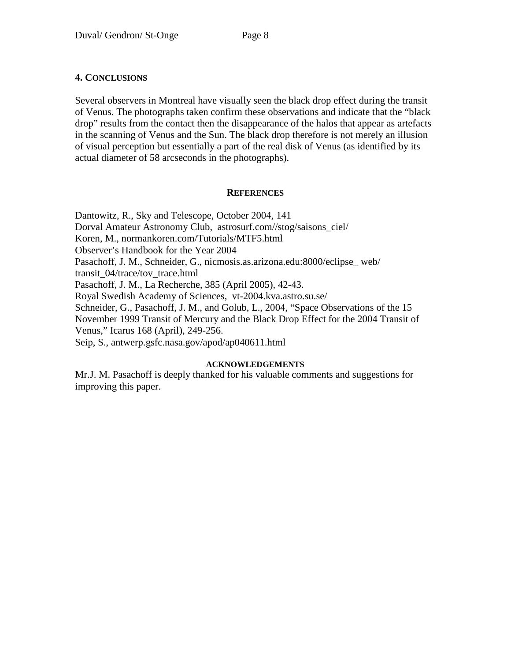### **4. CONCLUSIONS**

Several observers in Montreal have visually seen the black drop effect during the transit of Venus. The photographs taken confirm these observations and indicate that the "black drop" results from the contact then the disappearance of the halos that appear as artefacts in the scanning of Venus and the Sun. The black drop therefore is not merely an illusion of visual perception but essentially a part of the real disk of Venus (as identified by its actual diameter of 58 arcseconds in the photographs).

### **REFERENCES**

Dantowitz, R., Sky and Telescope, October 2004, 141 Dorval Amateur Astronomy Club, astrosurf.com//stog/saisons\_ciel/ Koren, M., normankoren.com/Tutorials/MTF5.html Observer's Handbook for the Year 2004 Pasachoff, J. M., Schneider, G., nicmosis.as.arizona.edu:8000/eclipse\_ web/ transit\_04/trace/tov\_trace.html Pasachoff, J. M., La Recherche, 385 (April 2005), 42-43. Royal Swedish Academy of Sciences, vt-2004.kva.astro.su.se/ Schneider, G., Pasachoff, J. M., and Golub, L., 2004, "Space Observations of the 15 November 1999 Transit of Mercury and the Black Drop Effect for the 2004 Transit of Venus," Icarus 168 (April), 249-256. Seip, S., antwerp.gsfc.nasa.gov/apod/ap040611.html

### **ACKNOWLEDGEMENTS**

Mr.J. M. Pasachoff is deeply thanked for his valuable comments and suggestions for improving this paper.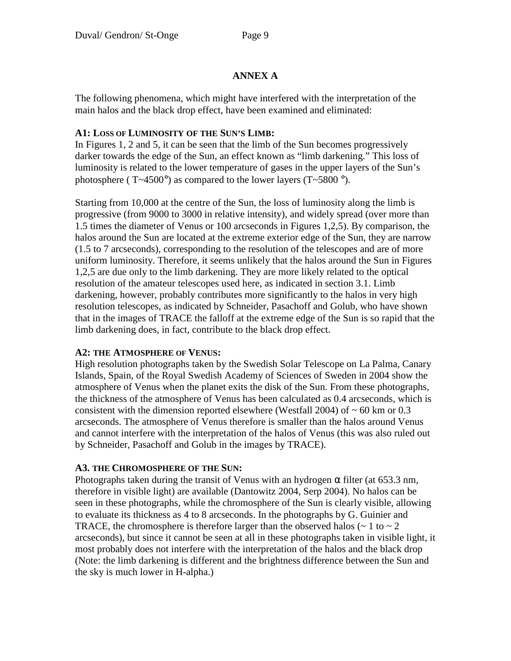## **ANNEX A**

The following phenomena, which might have interfered with the interpretation of the main halos and the black drop effect, have been examined and eliminated:

### **A1: LOSS OF LUMINOSITY OF THE SUN'S LIMB:**

In Figures 1, 2 and 5, it can be seen that the limb of the Sun becomes progressively darker towards the edge of the Sun, an effect known as "limb darkening." This loss of luminosity is related to the lower temperature of gases in the upper layers of the Sun's photosphere ( $T \sim 4500^\circ$ ) as compared to the lower layers ( $T \sim 5800^\circ$ ).

Starting from 10,000 at the centre of the Sun, the loss of luminosity along the limb is progressive (from 9000 to 3000 in relative intensity), and widely spread (over more than 1.5 times the diameter of Venus or 100 arcseconds in Figures 1,2,5). By comparison, the halos around the Sun are located at the extreme exterior edge of the Sun, they are narrow (1.5 to 7 arcseconds), corresponding to the resolution of the telescopes and are of more uniform luminosity. Therefore, it seems unlikely that the halos around the Sun in Figures 1,2,5 are due only to the limb darkening. They are more likely related to the optical resolution of the amateur telescopes used here, as indicated in section 3.1. Limb darkening, however, probably contributes more significantly to the halos in very high resolution telescopes, as indicated by Schneider, Pasachoff and Golub, who have shown that in the images of TRACE the falloff at the extreme edge of the Sun is so rapid that the limb darkening does, in fact, contribute to the black drop effect.

## **A2: THE ATMOSPHERE OF VENUS:**

High resolution photographs taken by the Swedish Solar Telescope on La Palma, Canary Islands, Spain, of the Royal Swedish Academy of Sciences of Sweden in 2004 show the atmosphere of Venus when the planet exits the disk of the Sun. From these photographs, the thickness of the atmosphere of Venus has been calculated as 0.4 arcseconds, which is consistent with the dimension reported elsewhere (Westfall 2004) of  $\sim 60$  km or 0.3 arcseconds. The atmosphere of Venus therefore is smaller than the halos around Venus and cannot interfere with the interpretation of the halos of Venus (this was also ruled out by Schneider, Pasachoff and Golub in the images by TRACE).

## **A3. THE CHROMOSPHERE OF THE SUN:**

Photographs taken during the transit of Venus with an hydrogen  $\alpha$  filter (at 653.3 nm, therefore in visible light) are available (Dantowitz 2004, Serp 2004). No halos can be seen in these photographs, while the chromosphere of the Sun is clearly visible, allowing to evaluate its thickness as 4 to 8 arcseconds. In the photographs by G. Guinier and TRACE, the chromosphere is therefore larger than the observed halos ( $\sim 1$  to  $\sim 2$ ) arcseconds), but since it cannot be seen at all in these photographs taken in visible light, it most probably does not interfere with the interpretation of the halos and the black drop (Note: the limb darkening is different and the brightness difference between the Sun and the sky is much lower in H-alpha.)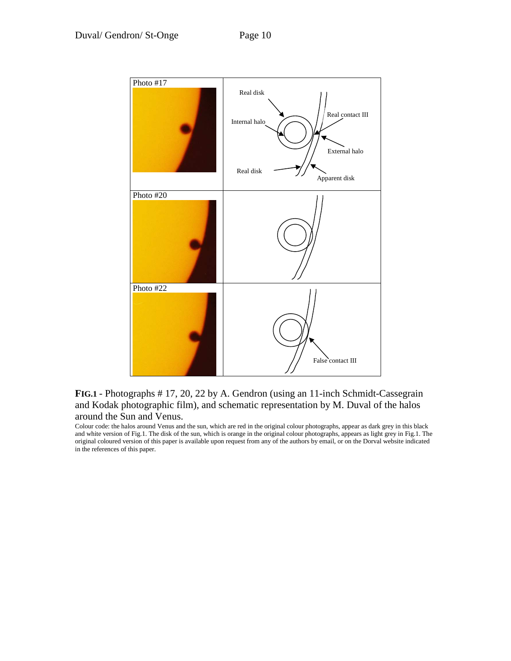

### **FIG.1** - Photographs # 17, 20, 22 by A. Gendron (using an 11-inch Schmidt-Cassegrain and Kodak photographic film), and schematic representation by M. Duval of the halos around the Sun and Venus.

Colour code: the halos around Venus and the sun, which are red in the original colour photographs, appear as dark grey in this black and white version of Fig.1. The disk of the sun, which is orange in the original colour photographs, appears as light grey in Fig.1. The original coloured version of this paper is available upon request from any of the authors by email, or on the Dorval website indicated in the references of this paper.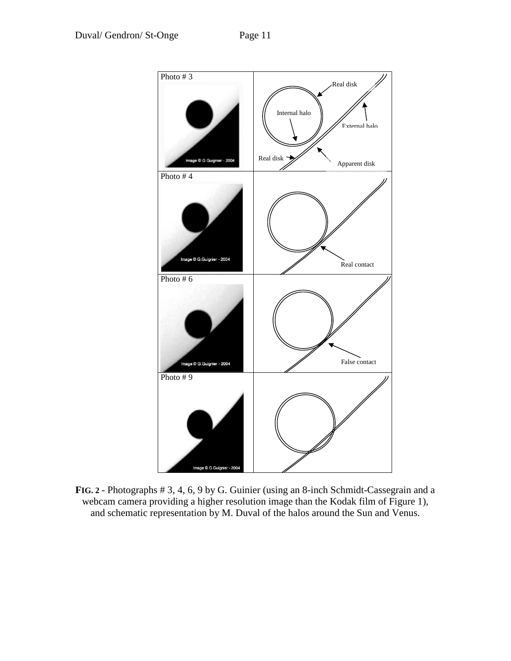

**FIG. 2** - Photographs # 3, 4, 6, 9 by G. Guinier (using an 8-inch Schmidt-Cassegrain and a webcam camera providing a higher resolution image than the Kodak film of Figure 1), and schematic representation by M. Duval of the halos around the Sun and Venus.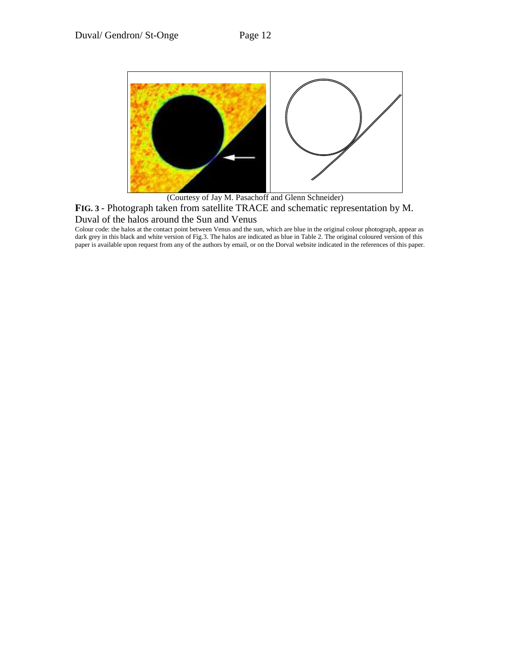

(Courtesy of Jay M. Pasachoff and Glenn Schneider) **FIG. 3** - Photograph taken from satellite TRACE and schematic representation by M. Duval of the halos around the Sun and Venus

Colour code: the halos at the contact point between Venus and the sun, which are blue in the original colour photograph, appear as dark grey in this black and white version of Fig.3. The halos are indicated as blue in Table 2. The original coloured version of this paper is available upon request from any of the authors by email, or on the Dorval website indicated in the references of this paper.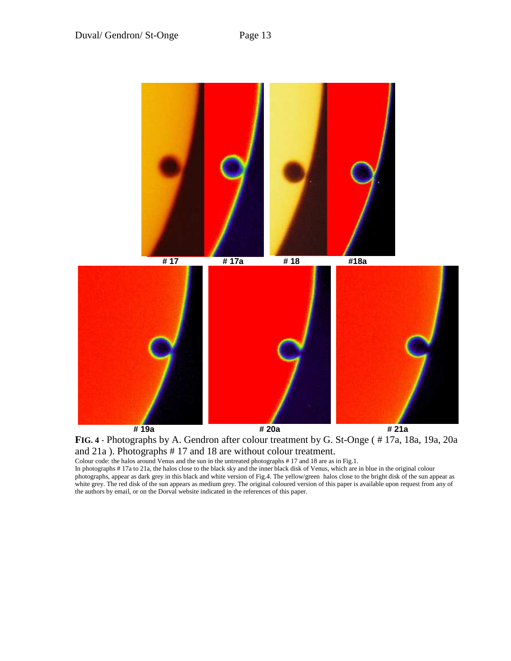

**FIG. 4** - Photographs by A. Gendron after colour treatment by G. St-Onge ( # 17a, 18a, 19a, 20a and 21a ). Photographs # 17 and 18 are without colour treatment.

Colour code: the halos around Venus and the sun in the untreated photographs # 17 and 18 are as in Fig.1.

In photographs # 17a to 21a, the halos close to the black sky and the inner black disk of Venus, which are in blue in the original colour photographs, appear as dark grey in this black and white version of Fig.4. The yellow/green halos close to the bright disk of the sun appear as white grey. The red disk of the sun appears as medium grey. The original coloured version of this paper is available upon request from any of the authors by email, or on the Dorval website indicated in the references of this paper.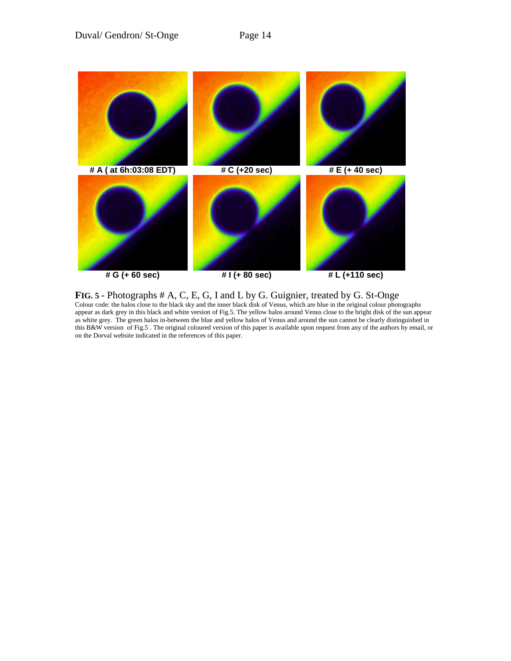

**FIG. 5** - Photographs # A, C, E, G, I and L by G. Guignier, treated by G. St-Onge Colour code: the halos close to the black sky and the inner black disk of Venus, which are blue in the original colour photographs appear as dark grey in this black and white version of Fig.5. The yellow halos around Venus close to the bright disk of the sun appear as white grey. The green halos in-between the blue and yellow halos of Venus and around the sun cannot be clearly distinguished in this B&W version of Fig.5 . The original coloured version of this paper is available upon request from any of the authors by email, or on the Dorval website indicated in the references of this paper.